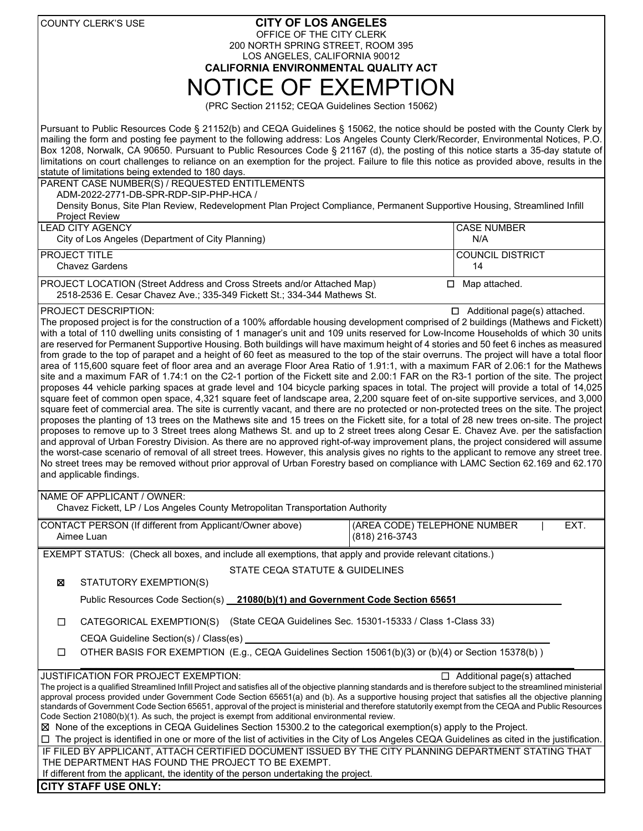|                                                                                                                                                                                                                                                                                                                                                                                                                                                                                                                                                                                                                                                                                                                                                                                                                                                                                                                                                                                                                                                                                                                                                                                                                                                                                                                                                                                                                                                                                                                                                                                                                                                                                                                                                                                                                                                                                                                                                                                                                                                                                                                       | <b>COUNTY CLERK'S USE</b>                                                                                                                                                                                                                              | <b>CITY OF LOS ANGELES</b> |                                                |                               |      |  |  |
|-----------------------------------------------------------------------------------------------------------------------------------------------------------------------------------------------------------------------------------------------------------------------------------------------------------------------------------------------------------------------------------------------------------------------------------------------------------------------------------------------------------------------------------------------------------------------------------------------------------------------------------------------------------------------------------------------------------------------------------------------------------------------------------------------------------------------------------------------------------------------------------------------------------------------------------------------------------------------------------------------------------------------------------------------------------------------------------------------------------------------------------------------------------------------------------------------------------------------------------------------------------------------------------------------------------------------------------------------------------------------------------------------------------------------------------------------------------------------------------------------------------------------------------------------------------------------------------------------------------------------------------------------------------------------------------------------------------------------------------------------------------------------------------------------------------------------------------------------------------------------------------------------------------------------------------------------------------------------------------------------------------------------------------------------------------------------------------------------------------------------|--------------------------------------------------------------------------------------------------------------------------------------------------------------------------------------------------------------------------------------------------------|----------------------------|------------------------------------------------|-------------------------------|------|--|--|
|                                                                                                                                                                                                                                                                                                                                                                                                                                                                                                                                                                                                                                                                                                                                                                                                                                                                                                                                                                                                                                                                                                                                                                                                                                                                                                                                                                                                                                                                                                                                                                                                                                                                                                                                                                                                                                                                                                                                                                                                                                                                                                                       | OFFICE OF THE CITY CLERK<br>200 NORTH SPRING STREET, ROOM 395                                                                                                                                                                                          |                            |                                                |                               |      |  |  |
|                                                                                                                                                                                                                                                                                                                                                                                                                                                                                                                                                                                                                                                                                                                                                                                                                                                                                                                                                                                                                                                                                                                                                                                                                                                                                                                                                                                                                                                                                                                                                                                                                                                                                                                                                                                                                                                                                                                                                                                                                                                                                                                       | LOS ANGELES, CALIFORNIA 90012                                                                                                                                                                                                                          |                            |                                                |                               |      |  |  |
| <b>CALIFORNIA ENVIRONMENTAL QUALITY ACT</b>                                                                                                                                                                                                                                                                                                                                                                                                                                                                                                                                                                                                                                                                                                                                                                                                                                                                                                                                                                                                                                                                                                                                                                                                                                                                                                                                                                                                                                                                                                                                                                                                                                                                                                                                                                                                                                                                                                                                                                                                                                                                           |                                                                                                                                                                                                                                                        |                            |                                                |                               |      |  |  |
| <b>NOTICE OF EXEMPTION</b>                                                                                                                                                                                                                                                                                                                                                                                                                                                                                                                                                                                                                                                                                                                                                                                                                                                                                                                                                                                                                                                                                                                                                                                                                                                                                                                                                                                                                                                                                                                                                                                                                                                                                                                                                                                                                                                                                                                                                                                                                                                                                            |                                                                                                                                                                                                                                                        |                            |                                                |                               |      |  |  |
| (PRC Section 21152; CEQA Guidelines Section 15062)                                                                                                                                                                                                                                                                                                                                                                                                                                                                                                                                                                                                                                                                                                                                                                                                                                                                                                                                                                                                                                                                                                                                                                                                                                                                                                                                                                                                                                                                                                                                                                                                                                                                                                                                                                                                                                                                                                                                                                                                                                                                    |                                                                                                                                                                                                                                                        |                            |                                                |                               |      |  |  |
| Pursuant to Public Resources Code § 21152(b) and CEQA Guidelines § 15062, the notice should be posted with the County Clerk by<br>mailing the form and posting fee payment to the following address: Los Angeles County Clerk/Recorder, Environmental Notices, P.O.<br>Box 1208, Norwalk, CA 90650. Pursuant to Public Resources Code § 21167 (d), the posting of this notice starts a 35-day statute of<br>limitations on court challenges to reliance on an exemption for the project. Failure to file this notice as provided above, results in the<br>statute of limitations being extended to 180 days.                                                                                                                                                                                                                                                                                                                                                                                                                                                                                                                                                                                                                                                                                                                                                                                                                                                                                                                                                                                                                                                                                                                                                                                                                                                                                                                                                                                                                                                                                                          |                                                                                                                                                                                                                                                        |                            |                                                |                               |      |  |  |
| PARENT CASE NUMBER(S) / REQUESTED ENTITLEMENTS<br>ADM-2022-2771-DB-SPR-RDP-SIP-PHP-HCA /                                                                                                                                                                                                                                                                                                                                                                                                                                                                                                                                                                                                                                                                                                                                                                                                                                                                                                                                                                                                                                                                                                                                                                                                                                                                                                                                                                                                                                                                                                                                                                                                                                                                                                                                                                                                                                                                                                                                                                                                                              |                                                                                                                                                                                                                                                        |                            |                                                |                               |      |  |  |
| Density Bonus, Site Plan Review, Redevelopment Plan Project Compliance, Permanent Supportive Housing, Streamlined Infill<br><b>Project Review</b>                                                                                                                                                                                                                                                                                                                                                                                                                                                                                                                                                                                                                                                                                                                                                                                                                                                                                                                                                                                                                                                                                                                                                                                                                                                                                                                                                                                                                                                                                                                                                                                                                                                                                                                                                                                                                                                                                                                                                                     |                                                                                                                                                                                                                                                        |                            |                                                |                               |      |  |  |
|                                                                                                                                                                                                                                                                                                                                                                                                                                                                                                                                                                                                                                                                                                                                                                                                                                                                                                                                                                                                                                                                                                                                                                                                                                                                                                                                                                                                                                                                                                                                                                                                                                                                                                                                                                                                                                                                                                                                                                                                                                                                                                                       | <b>LEAD CITY AGENCY</b>                                                                                                                                                                                                                                |                            |                                                | <b>CASE NUMBER</b>            |      |  |  |
|                                                                                                                                                                                                                                                                                                                                                                                                                                                                                                                                                                                                                                                                                                                                                                                                                                                                                                                                                                                                                                                                                                                                                                                                                                                                                                                                                                                                                                                                                                                                                                                                                                                                                                                                                                                                                                                                                                                                                                                                                                                                                                                       | City of Los Angeles (Department of City Planning)                                                                                                                                                                                                      |                            |                                                | N/A                           |      |  |  |
|                                                                                                                                                                                                                                                                                                                                                                                                                                                                                                                                                                                                                                                                                                                                                                                                                                                                                                                                                                                                                                                                                                                                                                                                                                                                                                                                                                                                                                                                                                                                                                                                                                                                                                                                                                                                                                                                                                                                                                                                                                                                                                                       | PROJECT TITLE<br><b>Chavez Gardens</b>                                                                                                                                                                                                                 |                            |                                                | <b>COUNCIL DISTRICT</b><br>14 |      |  |  |
| PROJECT LOCATION (Street Address and Cross Streets and/or Attached Map)<br>$\square$ Map attached.<br>2518-2536 E. Cesar Chavez Ave.; 335-349 Fickett St.; 334-344 Mathews St.                                                                                                                                                                                                                                                                                                                                                                                                                                                                                                                                                                                                                                                                                                                                                                                                                                                                                                                                                                                                                                                                                                                                                                                                                                                                                                                                                                                                                                                                                                                                                                                                                                                                                                                                                                                                                                                                                                                                        |                                                                                                                                                                                                                                                        |                            |                                                |                               |      |  |  |
| <b>PROJECT DESCRIPTION:</b><br>$\Box$ Additional page(s) attached.<br>The proposed project is for the construction of a 100% affordable housing development comprised of 2 buildings (Mathews and Fickett)<br>with a total of 110 dwelling units consisting of 1 manager's unit and 109 units reserved for Low-Income Households of which 30 units<br>are reserved for Permanent Supportive Housing. Both buildings will have maximum height of 4 stories and 50 feet 6 inches as measured<br>from grade to the top of parapet and a height of 60 feet as measured to the top of the stair overruns. The project will have a total floor<br>area of 115,600 square feet of floor area and an average Floor Area Ratio of 1.91:1, with a maximum FAR of 2.06:1 for the Mathews<br>site and a maximum FAR of 1.74:1 on the C2-1 portion of the Fickett site and 2.00:1 FAR on the R3-1 portion of the site. The project<br>proposes 44 vehicle parking spaces at grade level and 104 bicycle parking spaces in total. The project will provide a total of 14,025<br>square feet of common open space, 4,321 square feet of landscape area, 2,200 square feet of on-site supportive services, and 3,000<br>square feet of commercial area. The site is currently vacant, and there are no protected or non-protected trees on the site. The project<br>proposes the planting of 13 trees on the Mathews site and 15 trees on the Fickett site, for a total of 28 new trees on-site. The project<br>proposes to remove up to 3 Street trees along Mathews St. and up to 2 street trees along Cesar E. Chavez Ave. per the satisfaction<br>and approval of Urban Forestry Division. As there are no approved right-of-way improvement plans, the project considered will assume<br>the worst-case scenario of removal of all street trees. However, this analysis gives no rights to the applicant to remove any street tree.<br>No street trees may be removed without prior approval of Urban Forestry based on compliance with LAMC Section 62.169 and 62.170<br>and applicable findings.<br>NAME OF APPLICANT / OWNER: |                                                                                                                                                                                                                                                        |                            |                                                |                               |      |  |  |
| Chavez Fickett, LP / Los Angeles County Metropolitan Transportation Authority                                                                                                                                                                                                                                                                                                                                                                                                                                                                                                                                                                                                                                                                                                                                                                                                                                                                                                                                                                                                                                                                                                                                                                                                                                                                                                                                                                                                                                                                                                                                                                                                                                                                                                                                                                                                                                                                                                                                                                                                                                         |                                                                                                                                                                                                                                                        |                            |                                                |                               |      |  |  |
|                                                                                                                                                                                                                                                                                                                                                                                                                                                                                                                                                                                                                                                                                                                                                                                                                                                                                                                                                                                                                                                                                                                                                                                                                                                                                                                                                                                                                                                                                                                                                                                                                                                                                                                                                                                                                                                                                                                                                                                                                                                                                                                       | CONTACT PERSON (If different from Applicant/Owner above)<br>Aimee Luan                                                                                                                                                                                 |                            | (AREA CODE) TELEPHONE NUMBER<br>(818) 216-3743 |                               | EXT. |  |  |
|                                                                                                                                                                                                                                                                                                                                                                                                                                                                                                                                                                                                                                                                                                                                                                                                                                                                                                                                                                                                                                                                                                                                                                                                                                                                                                                                                                                                                                                                                                                                                                                                                                                                                                                                                                                                                                                                                                                                                                                                                                                                                                                       | EXEMPT STATUS: (Check all boxes, and include all exemptions, that apply and provide relevant citations.)                                                                                                                                               |                            |                                                |                               |      |  |  |
| X                                                                                                                                                                                                                                                                                                                                                                                                                                                                                                                                                                                                                                                                                                                                                                                                                                                                                                                                                                                                                                                                                                                                                                                                                                                                                                                                                                                                                                                                                                                                                                                                                                                                                                                                                                                                                                                                                                                                                                                                                                                                                                                     | <b>STATE CEQA STATUTE &amp; GUIDELINES</b><br>STATUTORY EXEMPTION(S)                                                                                                                                                                                   |                            |                                                |                               |      |  |  |
|                                                                                                                                                                                                                                                                                                                                                                                                                                                                                                                                                                                                                                                                                                                                                                                                                                                                                                                                                                                                                                                                                                                                                                                                                                                                                                                                                                                                                                                                                                                                                                                                                                                                                                                                                                                                                                                                                                                                                                                                                                                                                                                       | Public Resources Code Section(s) _21080(b)(1) and Government Code Section 65651                                                                                                                                                                        |                            |                                                |                               |      |  |  |
| □                                                                                                                                                                                                                                                                                                                                                                                                                                                                                                                                                                                                                                                                                                                                                                                                                                                                                                                                                                                                                                                                                                                                                                                                                                                                                                                                                                                                                                                                                                                                                                                                                                                                                                                                                                                                                                                                                                                                                                                                                                                                                                                     | CATEGORICAL EXEMPTION(S) (State CEQA Guidelines Sec. 15301-15333 / Class 1-Class 33)                                                                                                                                                                   |                            |                                                |                               |      |  |  |
|                                                                                                                                                                                                                                                                                                                                                                                                                                                                                                                                                                                                                                                                                                                                                                                                                                                                                                                                                                                                                                                                                                                                                                                                                                                                                                                                                                                                                                                                                                                                                                                                                                                                                                                                                                                                                                                                                                                                                                                                                                                                                                                       | CEQA Guideline Section(s) / Class(es) _                                                                                                                                                                                                                |                            |                                                |                               |      |  |  |
| □                                                                                                                                                                                                                                                                                                                                                                                                                                                                                                                                                                                                                                                                                                                                                                                                                                                                                                                                                                                                                                                                                                                                                                                                                                                                                                                                                                                                                                                                                                                                                                                                                                                                                                                                                                                                                                                                                                                                                                                                                                                                                                                     | OTHER BASIS FOR EXEMPTION (E.g., CEQA Guidelines Section 15061(b)(3) or (b)(4) or Section 15378(b))                                                                                                                                                    |                            |                                                |                               |      |  |  |
| JUSTIFICATION FOR PROJECT EXEMPTION:<br>$\Box$ Additional page(s) attached<br>The project is a qualified Streamlined Infill Project and satisfies all of the objective planning standards and is therefore subject to the streamlined ministerial<br>approval process provided under Government Code Section 65651(a) and (b). As a supportive housing project that satisfies all the objective planning<br>standards of Government Code Section 65651, approval of the project is ministerial and therefore statutorily exempt from the CEQA and Public Resources<br>Code Section 21080(b)(1). As such, the project is exempt from additional environmental review.<br>⊠ None of the exceptions in CEQA Guidelines Section 15300.2 to the categorical exemption(s) apply to the Project.                                                                                                                                                                                                                                                                                                                                                                                                                                                                                                                                                                                                                                                                                                                                                                                                                                                                                                                                                                                                                                                                                                                                                                                                                                                                                                                             |                                                                                                                                                                                                                                                        |                            |                                                |                               |      |  |  |
|                                                                                                                                                                                                                                                                                                                                                                                                                                                                                                                                                                                                                                                                                                                                                                                                                                                                                                                                                                                                                                                                                                                                                                                                                                                                                                                                                                                                                                                                                                                                                                                                                                                                                                                                                                                                                                                                                                                                                                                                                                                                                                                       | □ The project is identified in one or more of the list of activities in the City of Los Angeles CEQA Guidelines as cited in the justification.<br>IF FILED BY APPLICANT, ATTACH CERTIFIED DOCUMENT ISSUED BY THE CITY PLANNING DEPARTMENT STATING THAT |                            |                                                |                               |      |  |  |
|                                                                                                                                                                                                                                                                                                                                                                                                                                                                                                                                                                                                                                                                                                                                                                                                                                                                                                                                                                                                                                                                                                                                                                                                                                                                                                                                                                                                                                                                                                                                                                                                                                                                                                                                                                                                                                                                                                                                                                                                                                                                                                                       | THE DEPARTMENT HAS FOUND THE PROJECT TO BE EXEMPT.                                                                                                                                                                                                     |                            |                                                |                               |      |  |  |
| If different from the applicant, the identity of the person undertaking the project.                                                                                                                                                                                                                                                                                                                                                                                                                                                                                                                                                                                                                                                                                                                                                                                                                                                                                                                                                                                                                                                                                                                                                                                                                                                                                                                                                                                                                                                                                                                                                                                                                                                                                                                                                                                                                                                                                                                                                                                                                                  |                                                                                                                                                                                                                                                        |                            |                                                |                               |      |  |  |